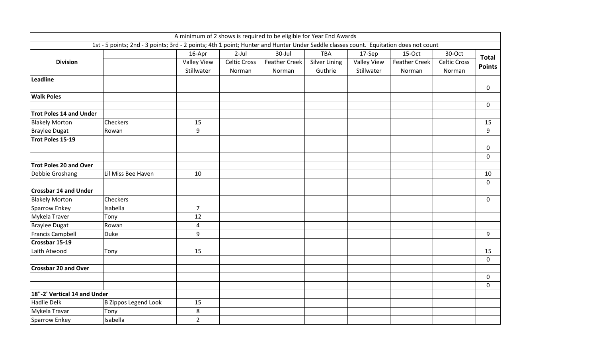|                                |                                                                                                                                      | A minimum of 2 shows is required to be eligible for Year End Awards |                     |                      |                      |                    |                      |                     |                               |
|--------------------------------|--------------------------------------------------------------------------------------------------------------------------------------|---------------------------------------------------------------------|---------------------|----------------------|----------------------|--------------------|----------------------|---------------------|-------------------------------|
|                                | 1st - 5 points; 2nd - 3 points; 3rd - 2 points; 4th 1 point; Hunter and Hunter Under Saddle classes count. Equitation does not count |                                                                     |                     |                      |                      |                    |                      |                     |                               |
| <b>Division</b>                |                                                                                                                                      | 16-Apr                                                              | $2$ -Jul            | 30-Jul               | <b>TBA</b>           | 17-Sep             | 15-Oct               | 30-Oct              | <b>Total</b><br><b>Points</b> |
|                                |                                                                                                                                      | <b>Valley View</b>                                                  | <b>Celtic Cross</b> | <b>Feather Creek</b> | <b>Silver Lining</b> | <b>Valley View</b> | <b>Feather Creek</b> | <b>Celtic Cross</b> |                               |
|                                |                                                                                                                                      | Stillwater                                                          | Norman              | Norman               | Guthrie              | Stillwater         | Norman               | Norman              |                               |
| Leadline                       |                                                                                                                                      |                                                                     |                     |                      |                      |                    |                      |                     |                               |
|                                |                                                                                                                                      |                                                                     |                     |                      |                      |                    |                      |                     | $\mathbf 0$                   |
| <b>Walk Poles</b>              |                                                                                                                                      |                                                                     |                     |                      |                      |                    |                      |                     |                               |
| <b>Trot Poles 14 and Under</b> |                                                                                                                                      |                                                                     |                     |                      |                      |                    |                      |                     | 0                             |
| <b>Blakely Morton</b>          | <b>Checkers</b>                                                                                                                      | 15                                                                  |                     |                      |                      |                    |                      |                     | 15                            |
| <b>Braylee Dugat</b>           | Rowan                                                                                                                                | 9                                                                   |                     |                      |                      |                    |                      |                     | 9                             |
| Trot Poles 15-19               |                                                                                                                                      |                                                                     |                     |                      |                      |                    |                      |                     |                               |
|                                |                                                                                                                                      |                                                                     |                     |                      |                      |                    |                      |                     | 0                             |
|                                |                                                                                                                                      |                                                                     |                     |                      |                      |                    |                      |                     | 0                             |
| <b>Trot Poles 20 and Over</b>  |                                                                                                                                      |                                                                     |                     |                      |                      |                    |                      |                     |                               |
| Debbie Groshang                | Lil Miss Bee Haven                                                                                                                   | 10                                                                  |                     |                      |                      |                    |                      |                     | 10                            |
|                                |                                                                                                                                      |                                                                     |                     |                      |                      |                    |                      |                     | 0                             |
| <b>Crossbar 14 and Under</b>   |                                                                                                                                      |                                                                     |                     |                      |                      |                    |                      |                     |                               |
| <b>Blakely Morton</b>          | <b>Checkers</b>                                                                                                                      |                                                                     |                     |                      |                      |                    |                      |                     | 0                             |
| Sparrow Enkey                  | Isabella                                                                                                                             | $\overline{7}$                                                      |                     |                      |                      |                    |                      |                     |                               |
| Mykela Traver                  | Tony                                                                                                                                 | 12                                                                  |                     |                      |                      |                    |                      |                     |                               |
| <b>Braylee Dugat</b>           | Rowan                                                                                                                                | 4                                                                   |                     |                      |                      |                    |                      |                     |                               |
| <b>Francis Campbell</b>        | <b>Duke</b>                                                                                                                          | $\boldsymbol{9}$                                                    |                     |                      |                      |                    |                      |                     | 9                             |
| Crossbar 15-19                 |                                                                                                                                      |                                                                     |                     |                      |                      |                    |                      |                     |                               |
| Laith Atwood                   | Tony                                                                                                                                 | 15                                                                  |                     |                      |                      |                    |                      |                     | 15                            |
|                                |                                                                                                                                      |                                                                     |                     |                      |                      |                    |                      |                     | 0                             |
| <b>Crossbar 20 and Over</b>    |                                                                                                                                      |                                                                     |                     |                      |                      |                    |                      |                     |                               |
|                                |                                                                                                                                      |                                                                     |                     |                      |                      |                    |                      |                     | 0                             |
|                                |                                                                                                                                      |                                                                     |                     |                      |                      |                    |                      |                     | 0                             |
| 18"-2' Vertical 14 and Under   |                                                                                                                                      |                                                                     |                     |                      |                      |                    |                      |                     |                               |
| <b>Hadlie Delk</b>             | B Zippos Legend Look                                                                                                                 | 15                                                                  |                     |                      |                      |                    |                      |                     |                               |
| Mykela Travar                  | Tony                                                                                                                                 | 8                                                                   |                     |                      |                      |                    |                      |                     |                               |
| Sparrow Enkey                  | Isabella                                                                                                                             | $\overline{2}$                                                      |                     |                      |                      |                    |                      |                     |                               |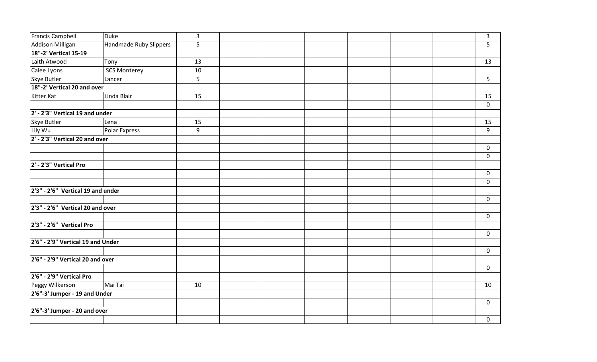| <b>Francis Campbell</b>               | Duke                   | $\overline{3}$ |  |  | $\mathbf{3}$   |
|---------------------------------------|------------------------|----------------|--|--|----------------|
| Addison Milligan                      | Handmade Ruby Slippers | 5              |  |  | 5              |
| 18"-2' Vertical 15-19                 |                        |                |  |  |                |
| Laith Atwood                          | Tony                   | 13             |  |  | 13             |
| Calee Lyons                           | <b>SCS Monterey</b>    | $10\,$         |  |  |                |
| <b>Skye Butler</b>                    | Lancer                 | 5              |  |  | 5 <sup>1</sup> |
| 18"-2' Vertical 20 and over           |                        |                |  |  |                |
| Kitter Kat                            | Linda Blair            | 15             |  |  | 15             |
|                                       |                        |                |  |  | $\mathbf 0$    |
| 2' - 2'3" Vertical 19 and under       |                        |                |  |  |                |
| <b>Skye Butler</b>                    | Lena                   | 15             |  |  | 15             |
| Lily Wu                               | Polar Express          | 9              |  |  | 9              |
| 2' - 2'3" Vertical 20 and over        |                        |                |  |  |                |
|                                       |                        |                |  |  | $\pmb{0}$      |
|                                       |                        |                |  |  | $\pmb{0}$      |
| 2' - 2'3" Vertical Pro                |                        |                |  |  |                |
|                                       |                        |                |  |  | $\mathbf 0$    |
|                                       |                        |                |  |  | $\mathbf 0$    |
| $2'3'' - 2'6''$ Vertical 19 and under |                        |                |  |  |                |
|                                       |                        |                |  |  | $\mathbf 0$    |
| 2'3" - 2'6" Vertical 20 and over      |                        |                |  |  |                |
|                                       |                        |                |  |  | $\pmb{0}$      |
| 2'3" - 2'6" Vertical Pro              |                        |                |  |  |                |
|                                       |                        |                |  |  | $\pmb{0}$      |
| 2'6" - 2'9" Vertical 19 and Under     |                        |                |  |  |                |
|                                       |                        |                |  |  | $\mathbf 0$    |
| 2'6" - 2'9" Vertical 20 and over      |                        |                |  |  |                |
|                                       |                        |                |  |  | $\mathbf 0$    |
| 2'6" - 2'9" Vertical Pro              |                        |                |  |  |                |
| Peggy Wilkerson                       | Mai Tai                | 10             |  |  | 10             |
| 2'6"-3' Jumper - 19 and Under         |                        |                |  |  |                |
|                                       |                        |                |  |  | $\pmb{0}$      |
| 2'6"-3' Jumper - 20 and over          |                        |                |  |  |                |
|                                       |                        |                |  |  | $\mathbf 0$    |
|                                       |                        |                |  |  |                |